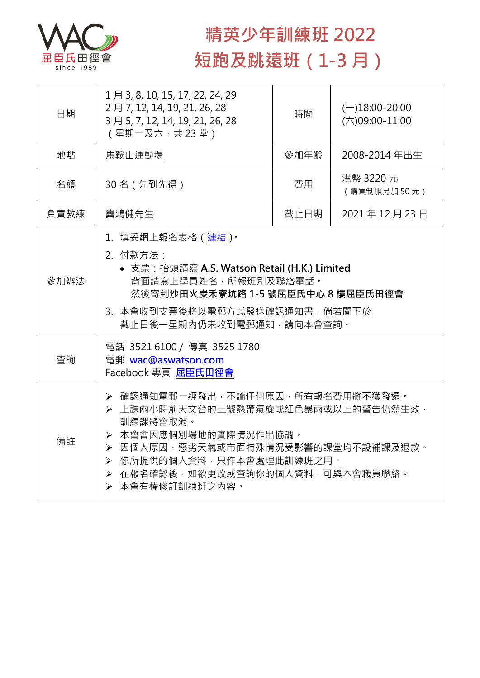

## **精英少年訓練班 2022 短跑及跳遠班(1-3 月)**

| 日期   | 1月 3, 8, 10, 15, 17, 22, 24, 29<br>2月7, 12, 14, 19, 21, 26, 28<br>3月5, 7, 12, 14, 19, 21, 26, 28<br>(星期一及六,共23堂)                                                                                                                      | 時間   | $(-)18:00-20:00$<br>(六)09:00-11:00 |  |
|------|---------------------------------------------------------------------------------------------------------------------------------------------------------------------------------------------------------------------------------------|------|------------------------------------|--|
| 地點   | 馬鞍山運動場                                                                                                                                                                                                                                | 參加年齡 | 2008-2014 年出生                      |  |
| 名額   | 30名 (先到先得)                                                                                                                                                                                                                            | 費用   | 港幣 3220 元<br>(購買制服另加50元)           |  |
| 負責教練 | 龔鴻健先生                                                                                                                                                                                                                                 | 截止日期 | 2021年12月23日                        |  |
| 參加辦法 | 1.填妥網上報名表格(連結) <sup>。</sup><br>2. 付款方法:<br>• 支票: 抬頭請寫 A.S. Watson Retail (H.K.) Limited<br>背面請寫上學員姓名,所報班別及聯絡電話。<br>然後寄到沙田火炭禾寮坑路 1-5 號屈臣氏中心 8 樓屈臣氏田徑會<br>3. 本會收到支票後將以電郵方式發送確認通知書,倘若閣下於<br>截止日後一星期內仍未收到電郵通知,請向本會查詢。                     |      |                                    |  |
| 查詢   | 電話 3521 6100 / 傳真 3525 1780<br>電郵 wac@aswatson.com<br>Facebook 專頁 屈臣氏田徑會                                                                                                                                                              |      |                                    |  |
| 備註   | ▶ 確認通知電郵一經發出,不論任何原因,所有報名費用將不獲發還。<br>▶ 上課兩小時前天文台的三號熱帶氣旋或紅色暴雨或以上的警告仍然生效,<br>訓練課將會取消。<br>> 本會會因應個別場地的實際情況作出協調。<br>▶ 因個人原因,惡劣天氣或市面特殊情況受影響的課堂均不設補課及退款。<br>▶ 你所提供的個人資料,只作本會處理此訓練班之用。<br>> 在報名確認後,如欲更改或查詢你的個人資料,可與本會職員聯絡。<br>> 本會有權修訂訓練班之內容。 |      |                                    |  |